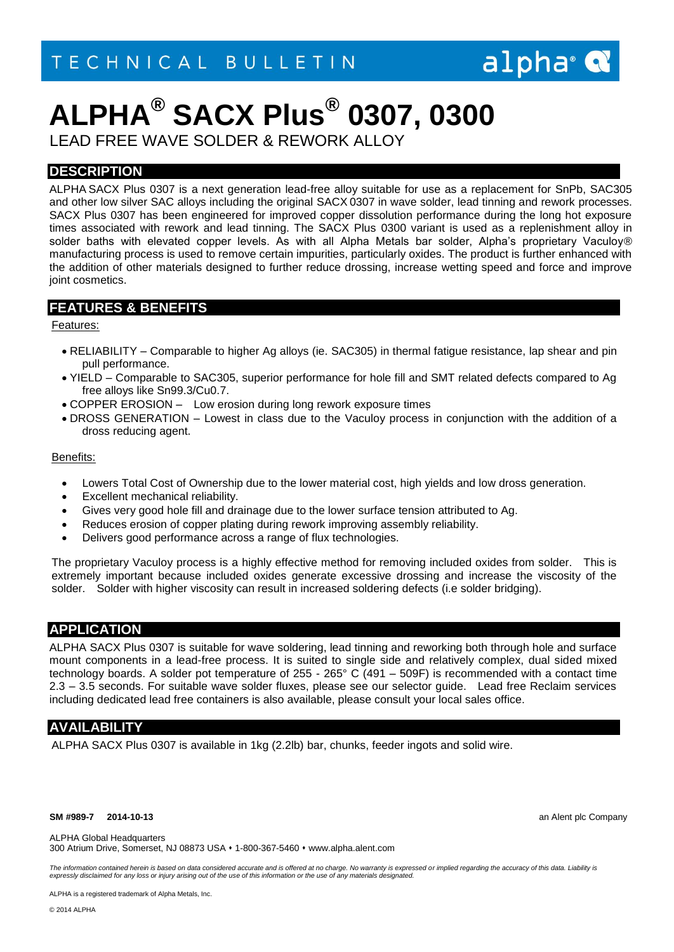## alpha<sup>®</sup>

## **ALPHA® SACX Plus® 0307, 0300**

LEAD FREE WAVE SOLDER & REWORK ALLOY

## **DESCRIPTION**

ALPHA SACX Plus 0307 is a next generation lead-free alloy suitable for use as a replacement for SnPb, SAC305 and other low silver SAC alloys including the original SACX 0307 in wave solder, lead tinning and rework processes. SACX Plus 0307 has been engineered for improved copper dissolution performance during the long hot exposure times associated with rework and lead tinning. The SACX Plus 0300 variant is used as a replenishment alloy in solder baths with elevated copper levels. As with all Alpha Metals bar solder, Alpha's proprietary Vaculoy® manufacturing process is used to remove certain impurities, particularly oxides. The product is further enhanced with the addition of other materials designed to further reduce drossing, increase wetting speed and force and improve joint cosmetics.

### **FEATURES & BENEFITS**

### Features:

- RELIABILITY Comparable to higher Ag alloys (ie. SAC305) in thermal fatigue resistance, lap shear and pin pull performance.
- YIELD Comparable to SAC305, superior performance for hole fill and SMT related defects compared to Ag free alloys like Sn99.3/Cu0.7.
- COPPER EROSION Low erosion during long rework exposure times
- DROSS GENERATION Lowest in class due to the Vaculoy process in conjunction with the addition of a dross reducing agent.

### Benefits:

- Lowers Total Cost of Ownership due to the lower material cost, high yields and low dross generation.
- Excellent mechanical reliability.
- Gives very good hole fill and drainage due to the lower surface tension attributed to Ag.
- Reduces erosion of copper plating during rework improving assembly reliability.
- Delivers good performance across a range of flux technologies.

The proprietary Vaculoy process is a highly effective method for removing included oxides from solder. This is extremely important because included oxides generate excessive drossing and increase the viscosity of the solder. Solder with higher viscosity can result in increased soldering defects (i.e solder bridging).

## **APPLICATION**

ALPHA SACX Plus 0307 is suitable for wave soldering, lead tinning and reworking both through hole and surface mount components in a lead-free process. It is suited to single side and relatively complex, dual sided mixed technology boards. A solder pot temperature of 255 - 265° C (491 – 509F) is recommended with a contact time 2.3 – 3.5 seconds. For suitable wave solder fluxes, please see our selector guide. Lead free Reclaim services including dedicated lead free containers is also available, please consult your local sales office.

## **AVAILABILITY**

ALPHA SACX Plus 0307 is available in 1kg (2.2lb) bar, chunks, feeder ingots and solid wire.

#### **SM #989-7 2014-10-13** an Alent plc Company

ALPHA Global Headquarters

300 Atrium Drive, Somerset, NJ 08873 USA 1-800-367-5460 www.alpha.alent.com

The information contained herein is based on data considered accurate and is offered at no charge. No warranty is expressed or implied regarding the accuracy of this data. Liability is *expressly disclaimed for any loss or injury arising out of the use of this information or the use of any materials designated.*

ALPHA is a registered trademark of Alpha Metals, Inc.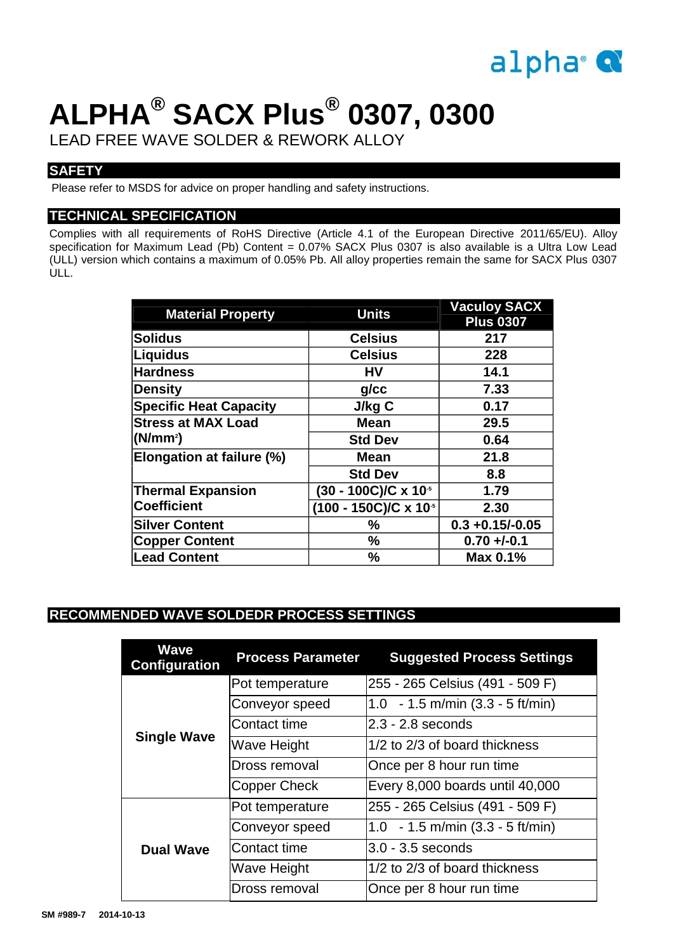

# **ALPHA® SACX Plus® 0307, 0300**

LEAD FREE WAVE SOLDER & REWORK ALLOY

## **SAFETY**

Please refer to MSDS for advice on proper handling and safety instructions.

## **TECHNICAL SPECIFICATION**

Complies with all requirements of RoHS Directive (Article 4.1 of the European Directive 2011/65/EU). Alloy specification for Maximum Lead (Pb) Content = 0.07% SACX Plus 0307 is also available is a Ultra Low Lead (ULL) version which contains a maximum of 0.05% Pb. All alloy properties remain the same for SACX Plus 0307 ULL.

| <b>Material Property</b>      | <b>Units</b>                    | <b>Vaculoy SACX</b><br><b>Plus 0307</b> |
|-------------------------------|---------------------------------|-----------------------------------------|
| <b>Solidus</b>                | <b>Celsius</b>                  | 217                                     |
| <b>Liquidus</b>               | <b>Celsius</b>                  | 228                                     |
| <b>Hardness</b>               | <b>HV</b>                       | 14.1                                    |
| <b>Density</b>                | $g$ / $cc$                      | 7.33                                    |
| <b>Specific Heat Capacity</b> | J/kg C                          | 0.17                                    |
| <b>Stress at MAX Load</b>     | <b>Mean</b>                     | 29.5                                    |
| (N/mm <sup>2</sup> )          | <b>Std Dev</b>                  | 0.64                                    |
| Elongation at failure (%)     | <b>Mean</b>                     | 21.8                                    |
|                               | <b>Std Dev</b>                  | 8.8                                     |
| <b>Thermal Expansion</b>      | $(30 - 100C)/C \times 10^{-5}$  | 1.79                                    |
| <b>Coefficient</b>            | $(100 - 150C)/C \times 10^{-5}$ | 2.30                                    |
| <b>Silver Content</b>         | $\frac{1}{2}$                   | $0.3 + 0.15/-0.05$                      |
| <b>Copper Content</b>         | %                               | $0.70 +/-0.1$                           |
| <b>Lead Content</b>           | $\frac{0}{0}$                   | Max 0.1%                                |

## **RECOMMENDED WAVE SOLDEDR PROCESS SETTINGS**

| <b>Wave</b><br><b>Configuration</b> | <b>Process Parameter</b> | <b>Suggested Process Settings</b>          |
|-------------------------------------|--------------------------|--------------------------------------------|
| <b>Single Wave</b>                  | Pot temperature          | 255 - 265 Celsius (491 - 509 F)            |
|                                     | Conveyor speed           | 1.0 $-1.5$ m/min (3.3 - 5 ft/min)          |
|                                     | Contact time             | $2.3 - 2.8$ seconds                        |
|                                     | <b>Wave Height</b>       | 1/2 to 2/3 of board thickness              |
|                                     | Dross removal            | Once per 8 hour run time                   |
|                                     | <b>Copper Check</b>      | Every 8,000 boards until 40,000            |
| <b>Dual Wave</b>                    | Pot temperature          | 255 - 265 Celsius (491 - 509 F)            |
|                                     | Conveyor speed           | 1.0 - 1.5 m/min $(3.3 - 5 \text{ ft/min})$ |
|                                     | Contact time             | $3.0 - 3.5$ seconds                        |
|                                     | <b>Wave Height</b>       | 1/2 to 2/3 of board thickness              |
|                                     | Dross removal            | Once per 8 hour run time                   |